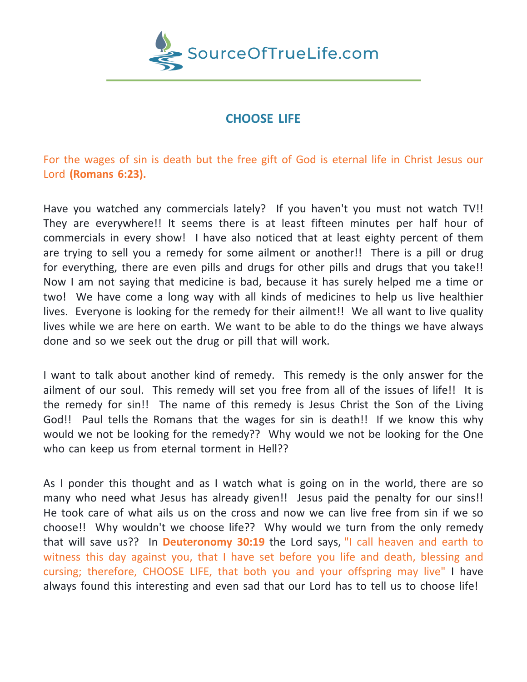

## **CHOOSE LIFE**

For the wages of sin is death but the free gift of God is eternal life in Christ Jesus our Lord **(Romans 6:23).**

Have you watched any commercials lately? If you haven't you must not watch TV!! They are everywhere!! It seems there is at least fifteen minutes per half hour of commercials in every show! I have also noticed that at least eighty percent of them are trying to sell you a remedy for some ailment or another!! There is a pill or drug for everything, there are even pills and drugs for other pills and drugs that you take!! Now I am not saying that medicine is bad, because it has surely helped me a time or two! We have come a long way with all kinds of medicines to help us live healthier lives. Everyone is looking for the remedy for their ailment!! We all want to live quality lives while we are here on earth. We want to be able to do the things we have always done and so we seek out the drug or pill that will work.

I want to talk about another kind of remedy. This remedy is the only answer for the ailment of our soul. This remedy will set you free from all of the issues of life!! It is the remedy for sin!! The name of this remedy is Jesus Christ the Son of the Living God!! Paul tells the Romans that the wages for sin is death!! If we know this why would we not be looking for the remedy?? Why would we not be looking for the One who can keep us from eternal torment in Hell??

As I ponder this thought and as I watch what is going on in the world, there are so many who need what Jesus has already given!! Jesus paid the penalty for our sins!! He took care of what ails us on the cross and now we can live free from sin if we so choose!! Why wouldn't we choose life?? Why would we turn from the only remedy that will save us?? In **Deuteronomy 30:19** the Lord says, "I call heaven and earth to witness this day against you, that I have set before you life and death, blessing and cursing; therefore, CHOOSE LIFE, that both you and your offspring may live" I have always found this interesting and even sad that our Lord has to tell us to choose life!